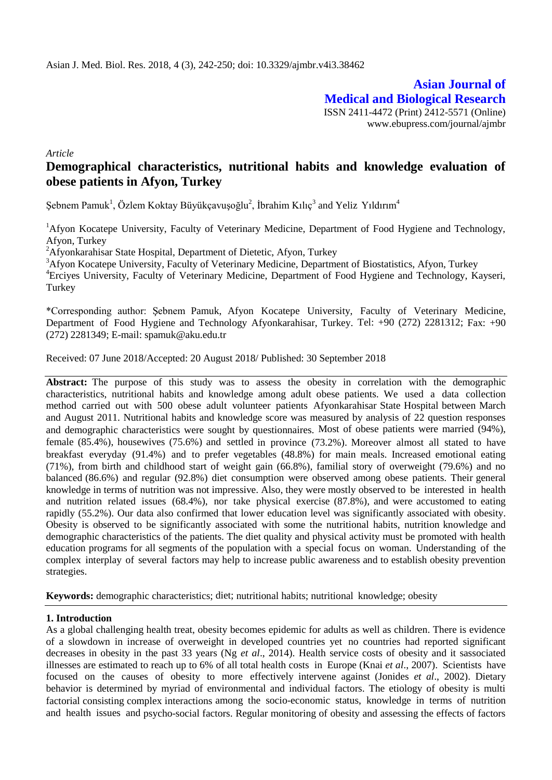**Asian Journal of Medical and Biological Research** ISSN 2411-4472 (Print) 2412-5571 (Online) www.ebupress.com/journal/ajmbr

*Article*

# **Demographical characteristics, nutritional habits and knowledge evaluation of obese patients in Afyon, Turkey**

Şebnem Pamuk<sup>1</sup>, Özlem Koktay Büyükçavuşoğlu<sup>2</sup>, İbrahim Kılıç<sup>3</sup> and Yeliz Yıldırım<sup>4</sup>

<sup>1</sup>Afyon Kocatepe University, Faculty of Veterinary Medicine, Department of Food Hygiene and Technology, Afyon, Turkey

 $2A$ fyonkarahisar State Hospital, Department of Dietetic, Afyon, Turkey

<sup>3</sup>Afyon Kocatepe University, Faculty of Veterinary Medicine, Department of Biostatistics, Afyon, Turkey

<sup>4</sup>Erciyes University, Faculty of Veterinary Medicine, Department of Food Hygiene and Technology, Kayseri, Turkey

\*Corresponding author: Şebnem Pamuk, Afyon Kocatepe University, Faculty of Veterinary Medicine, Department of Food Hygiene and Technology Afyonkarahisar, Turkey. Tel: +90 (272) 2281312; Fax: +90 (272) 2281349; E-mail: [spamuk@aku.edu.tr](mailto:spamuk@aku.edu.tr)

Received: 07 June 2018/Accepted: 20 August 2018/ Published: 30 September 2018

**Abstract:** The purpose of this study was to assess the obesity in correlation with the demographic characteristics, nutritional habits and knowledge among adult obese patients. We used a data collection method carried out with 500 obese adult volunteer patients Afyonkarahisar State Hospital between March and August 2011. Nutritional habits and knowledge score was measured by analysis of 22 question responses and demographic characteristics were sought by questionnaires. Most of obese patients were married (94%), female (85.4%), housewives (75.6%) and settled in province (73.2%). Moreover almost all stated to have breakfast everyday (91.4%) and to prefer vegetables (48.8%) for main meals. Increased emotional eating (71%), from birth and childhood start of weight gain (66.8%), familial story of overweight (79.6%) and no balanced (86.6%) and regular (92.8%) diet consumption were observed among obese patients. Their general knowledge in terms of nutrition was not impressive. Also, they were mostly observed to be interested in health and nutrition related issues (68.4%), nor take physical exercise (87.8%), and were accustomed to eating rapidly (55.2%). Our data also confirmed that lower education level was significantly associated with obesity. Obesity is observed to be significantly associated with some the nutritional habits, nutrition knowledge and demographic characteristics of the patients. The diet quality and physical activity must be promoted with health education programs for all segments of the population with a special focus on woman. Understanding of the complex interplay of several factors may help to increase public awareness and to establish obesity prevention strategies.

**Keywords:** demographic characteristics; diet; nutritional habits; nutritional knowledge; obesity

## **1. Introduction**

As a global challenging health treat, obesity becomes epidemic for adults as well as children. There is evidence of a slowdown in increase of overweight in developed countries yet no countries had reported significant decreases in obesity in the past 33 years (Ng *et al*., 2014). Health service costs of obesity and it sassociated illnesses are estimated to reach up to 6% of all total health costs in Europe (Knai *et al*., 2007). Scientists have focused on the causes of obesity to more effectively intervene against (Jonides *et al*., 2002). Dietary behavior is determined by myriad of environmental and individual factors. The etiology of obesity is multi factorial consisting complex interactions among the socio-economic status, knowledge in terms of nutrition and health issues and psycho-social factors. Regular monitoring of obesity and assessing the effects of factors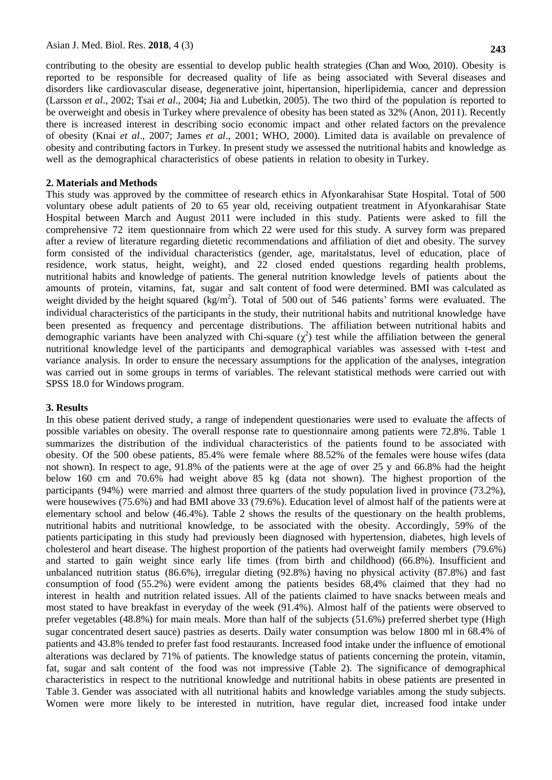contributing to the obesity are essential to develop public health strategies (Chan and Woo, 2010). Obesity is reported to be responsible for decreased quality of life as being associated with Several diseases and disorders like cardiovascular disease, degenerative joint, hipertansion, hiperlipidemia, cancer and depression (Larsson *et al*., 2002; Tsai *et al*., 2004; Jia and Lubetkin, 2005). The two third of the population is reported to be overweight and obesis in Turkey where prevalence of obesity has been stated as 32% (Anon, 2011). Recently there is increased interest in describing socio economic impact and other related factors on the prevalence of obesity (Knai *et al*., 2007; James *et al*., 2001; WHO, 2000). Limited data is available on prevalence of obesity and contributing factors in Turkey. In present study we assessed the nutritional habits and knowledge as well as the demographical characteristics of obese patients in relation to obesity in Turkey.

#### **2. Materials and Methods**

This study was approved by the committee of research ethics in Afyonkarahisar State Hospital. Total of 500 voluntary obese adult patients of 20 to 65 year old, receiving outpatient treatment in Afyonkarahisar State Hospital between March and August 2011 were included in this study. Patients were asked to fill the comprehensive 72 item questionnaire from which 22 were used for this study. A survey form was prepared after a review of literature regarding dietetic recommendations and affiliation of diet and obesity. The survey form consisted of the individual characteristics (gender, age, maritalstatus, level of education, place of residence, work status, height, weight), and 22 closed ended questions regarding health problems, nutritional habits and knowledge of patients. The general nutrition knowledge levels of patients about the amounts of protein, vitamins, fat, sugar and salt content of food were determined. BMI was calculated as weight divided by the height squared (kg/m<sup>2</sup>). Total of 500 out of 546 patients' forms were evaluated. The individual characteristics of the participants in the study, their nutritional habits and nutritional knowledge have been presented as frequency and percentage distributions. The affiliation between nutritional habits and demographic variants have been analyzed with Chi-square  $(\chi^2)$  test while the affiliation between the general nutritional knowledge level of the participants and demographical variables was assessed with t-test and variance analysis. In order to ensure the necessary assumptions for the application of the analyses, integration was carried out in some groups in terms of variables. The relevant statistical methods were carried out with SPSS 18.0 for Windows program.

## **3. Results**

In this obese patient derived study, a range of independent questionaries were used to evaluate the affects of possible variables on obesity. The overall response rate to questionnaire among patients were 72.8%. Table 1 summarizes the distribution of the individual characteristics of the patients found to be associated with obesity. Of the 500 obese patients, 85.4% were female where 88.52% of the females were house wifes (data not shown). In respect to age, 91.8% of the patients were at the age of over 25 y and 66.8% had the height below 160 cm and 70.6% had weight above 85 kg (data not shown). The highest proportion of the participants (94%) were married and almost three quarters of the study population lived in province (73.2%), were housewives (75.6%) and had BMI above 33 (79.6%). Education level of almost half of the patients were at elementary school and below (46.4%). Table 2 shows the results of the questionary on the health problems, nutritional habits and nutritional knowledge, to be associated with the obesity. Accordingly, 59% of the patients participating in this study had previously been diagnosed with hypertension, diabetes, high levels of cholesterol and heart disease. The highest proportion of the patients had overweight family members (79.6%) and started to gain weight since early life times (from birth and childhood) (66.8%). Insufficient and unbalanced nutrition status (86.6%), irregular dieting (92.8%) having no physical activity (87.8%) and fast consumption of food (55.2%) were evident among the patients besides 68,4% claimed that they had no interest in health and nutrition related issues. All of the patients claimed to have snacks between meals and most stated to have breakfast in everyday of the week (91.4%). Almost half of the patients were observed to prefer vegetables (48.8%) for main meals. More than half of the subjects (51.6%) preferred sherbet type (High sugar concentrated desert sauce) pastries as deserts. Daily water consumption was below 1800 ml in 68.4% of patients and 43.8% tended to prefer fast food restaurants. Increased food intake under the influence of emotional alterations was declared by 71% of patients. The knowledge status of patients concerning the protein, vitamin, fat, sugar and salt content of the food was not impressive (Table 2). The significance of demographical characteristics in respect to the nutritional knowledge and nutritional habits in obese patients are presented in Table 3. Gender was associated with all nutritional habits and knowledge variables among the study subjects. Women were more likely to be interested in nutrition, have regular diet, increased food intake under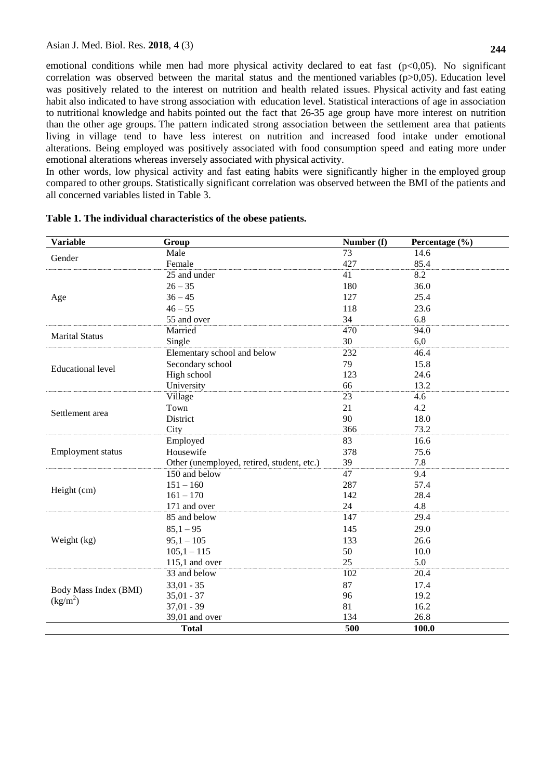emotional conditions while men had more physical activity declared to eat fast  $(p<0.05)$ . No significant correlation was observed between the marital status and the mentioned variables  $(p>0,05)$ . Education level was positively related to the interest on nutrition and health related issues. Physical activity and fast eating habit also indicated to have strong association with education level. Statistical interactions of age in association to nutritional knowledge and habits pointed out the fact that 26-35 age group have more interest on nutrition than the other age groups. The pattern indicated strong association between the settlement area that patients living in village tend to have less interest on nutrition and increased food intake under emotional alterations. Being employed was positively associated with food consumption speed and eating more under emotional alterations whereas inversely associated with physical activity.

In other words, low physical activity and fast eating habits were significantly higher in the employed group compared to other groups. Statistically significant correlation was observed between the BMI of the patients and all concerned variables listed in Table 3.

| <b>Variable</b>                      | Group                                                                                                                                                                                                                                      | Number (f)                                                                                                                                                                                                                                                                                                                                                                                                                     | Percentage (%) |
|--------------------------------------|--------------------------------------------------------------------------------------------------------------------------------------------------------------------------------------------------------------------------------------------|--------------------------------------------------------------------------------------------------------------------------------------------------------------------------------------------------------------------------------------------------------------------------------------------------------------------------------------------------------------------------------------------------------------------------------|----------------|
| Gender                               | Male                                                                                                                                                                                                                                       |                                                                                                                                                                                                                                                                                                                                                                                                                                | 14.6           |
|                                      | Female                                                                                                                                                                                                                                     |                                                                                                                                                                                                                                                                                                                                                                                                                                |                |
|                                      | 25 and under                                                                                                                                                                                                                               |                                                                                                                                                                                                                                                                                                                                                                                                                                |                |
|                                      | $26 - 35$                                                                                                                                                                                                                                  | 180                                                                                                                                                                                                                                                                                                                                                                                                                            | 36.0           |
| Age                                  | $36 - 45$                                                                                                                                                                                                                                  | 127                                                                                                                                                                                                                                                                                                                                                                                                                            | 25.4           |
|                                      | $46 - 55$                                                                                                                                                                                                                                  | 118                                                                                                                                                                                                                                                                                                                                                                                                                            | 23.6           |
|                                      | 55 and over                                                                                                                                                                                                                                | 34                                                                                                                                                                                                                                                                                                                                                                                                                             | 6.8            |
| <b>Marital Status</b>                | Married                                                                                                                                                                                                                                    | 470                                                                                                                                                                                                                                                                                                                                                                                                                            | 94.0           |
|                                      | Single                                                                                                                                                                                                                                     | 73<br>427<br>85.4<br>41<br>8.2<br>30<br>6,0<br>232<br>46.4<br>79<br>15.8<br>123<br>24.6<br>13.2<br>66<br>23<br>4.6<br>21<br>4.2<br>90<br>18.0<br>73.2<br>366<br>83<br>16.6<br>378<br>75.6<br>39<br>7.8<br>47<br>9.4<br>287<br>57.4<br>142<br>28.4<br>24<br>4.8<br>147<br>29.4<br>29.0<br>145<br>133<br>26.6<br>50<br>10.0<br>25<br>5.0<br>102<br>20.4<br>87<br>17.4<br>96<br>19.2<br>81<br>16.2<br>26.8<br>134<br>500<br>100.0 |                |
|                                      | Elementary school and below                                                                                                                                                                                                                |                                                                                                                                                                                                                                                                                                                                                                                                                                |                |
| <b>Educational level</b>             | Secondary school                                                                                                                                                                                                                           |                                                                                                                                                                                                                                                                                                                                                                                                                                |                |
|                                      | High school                                                                                                                                                                                                                                |                                                                                                                                                                                                                                                                                                                                                                                                                                |                |
|                                      | University                                                                                                                                                                                                                                 |                                                                                                                                                                                                                                                                                                                                                                                                                                |                |
|                                      | Village                                                                                                                                                                                                                                    |                                                                                                                                                                                                                                                                                                                                                                                                                                |                |
| Settlement area                      | Town                                                                                                                                                                                                                                       |                                                                                                                                                                                                                                                                                                                                                                                                                                |                |
|                                      | District                                                                                                                                                                                                                                   |                                                                                                                                                                                                                                                                                                                                                                                                                                |                |
|                                      | City                                                                                                                                                                                                                                       |                                                                                                                                                                                                                                                                                                                                                                                                                                |                |
|                                      |                                                                                                                                                                                                                                            |                                                                                                                                                                                                                                                                                                                                                                                                                                |                |
| Employment status                    | Housewife                                                                                                                                                                                                                                  |                                                                                                                                                                                                                                                                                                                                                                                                                                |                |
|                                      | Other (unemployed, retired, student, etc.)                                                                                                                                                                                                 |                                                                                                                                                                                                                                                                                                                                                                                                                                |                |
|                                      | 150 and below                                                                                                                                                                                                                              |                                                                                                                                                                                                                                                                                                                                                                                                                                |                |
|                                      |                                                                                                                                                                                                                                            |                                                                                                                                                                                                                                                                                                                                                                                                                                |                |
|                                      | Employed<br>$151 - 160$<br>$161 - 170$<br>171 and over<br>85 and below<br>$85,1 - 95$<br>$95,1 - 105$<br>$105,1 - 115$<br>115,1 and over<br>33 and below<br>$33,01 - 35$<br>$35,01 - 37$<br>$37,01 - 39$<br>39,01 and over<br><b>Total</b> |                                                                                                                                                                                                                                                                                                                                                                                                                                |                |
|                                      |                                                                                                                                                                                                                                            |                                                                                                                                                                                                                                                                                                                                                                                                                                |                |
|                                      |                                                                                                                                                                                                                                            |                                                                                                                                                                                                                                                                                                                                                                                                                                |                |
|                                      |                                                                                                                                                                                                                                            |                                                                                                                                                                                                                                                                                                                                                                                                                                |                |
| Weight (kg)                          |                                                                                                                                                                                                                                            |                                                                                                                                                                                                                                                                                                                                                                                                                                |                |
|                                      |                                                                                                                                                                                                                                            |                                                                                                                                                                                                                                                                                                                                                                                                                                |                |
|                                      |                                                                                                                                                                                                                                            |                                                                                                                                                                                                                                                                                                                                                                                                                                |                |
|                                      |                                                                                                                                                                                                                                            |                                                                                                                                                                                                                                                                                                                                                                                                                                |                |
| Height (cm)<br>Body Mass Index (BMI) |                                                                                                                                                                                                                                            |                                                                                                                                                                                                                                                                                                                                                                                                                                |                |
| $(kg/m^2)$                           |                                                                                                                                                                                                                                            |                                                                                                                                                                                                                                                                                                                                                                                                                                |                |
|                                      |                                                                                                                                                                                                                                            |                                                                                                                                                                                                                                                                                                                                                                                                                                |                |
|                                      |                                                                                                                                                                                                                                            |                                                                                                                                                                                                                                                                                                                                                                                                                                |                |
|                                      |                                                                                                                                                                                                                                            |                                                                                                                                                                                                                                                                                                                                                                                                                                |                |

## **Table 1. The individual characteristics of the obese patients.**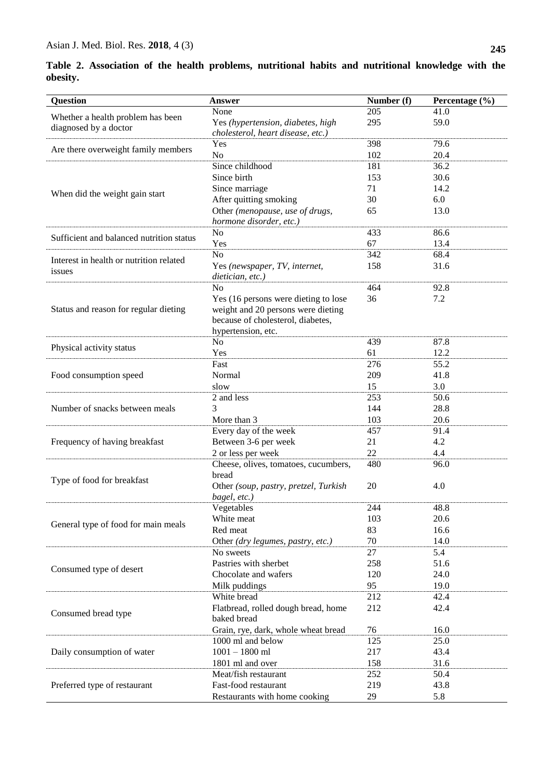|          | Table 2. Association of the health problems, nutritional habits and nutritional knowledge with the |  |  |  |  |  |  |
|----------|----------------------------------------------------------------------------------------------------|--|--|--|--|--|--|
| obesity. |                                                                                                    |  |  |  |  |  |  |

| <b>Question</b>                                            | <b>Answer</b>                         | Number (f) | Percentage (%) |
|------------------------------------------------------------|---------------------------------------|------------|----------------|
|                                                            | None                                  | 205        | 41.0           |
| Whether a health problem has been<br>diagnosed by a doctor | Yes (hypertension, diabetes, high     | 295        | 59.0           |
|                                                            | cholesterol, heart disease, etc.)     |            |                |
| Are there overweight family members                        | Yes                                   | 398        | 79.6           |
|                                                            | N <sub>o</sub>                        | 102        | 20.4           |
|                                                            | Since childhood                       | 181        | 36.2           |
|                                                            | Since birth                           | 153        | 30.6           |
| When did the weight gain start                             | Since marriage                        | 71         | 14.2           |
|                                                            | After quitting smoking                | 30         | 6.0            |
|                                                            | Other (menopause, use of drugs,       | 65         | 13.0           |
|                                                            | hormone disorder, etc.)               |            |                |
| Sufficient and balanced nutrition status                   | N <sub>o</sub>                        | 433        | 86.6           |
|                                                            | Yes                                   | 67         | 13.4           |
| Interest in health or nutrition related                    | N <sub>o</sub>                        | 342        | 68.4           |
| issues                                                     | Yes (newspaper, TV, internet,         | 158        | 31.6           |
|                                                            | dietician, etc.)                      |            |                |
|                                                            | N <sub>o</sub>                        | 464        | 92.8           |
|                                                            | Yes (16 persons were dieting to lose  | 36         | 7.2            |
| Status and reason for regular dieting                      | weight and 20 persons were dieting    |            |                |
|                                                            | because of cholesterol, diabetes,     |            |                |
|                                                            | hypertension, etc.                    |            |                |
| Physical activity status                                   | N <sub>o</sub>                        | 439        | 87.8           |
|                                                            | Yes                                   | 61         | 12.2           |
|                                                            | Fast                                  | 276        | 55.2           |
| Food consumption speed                                     | Normal                                | 209        | 41.8           |
|                                                            | slow                                  | 15         | 3.0            |
|                                                            | 2 and less                            | 253        | 50.6           |
| Number of snacks between meals                             | 3                                     | 144        | 28.8           |
|                                                            | More than 3                           | 103        | 20.6           |
|                                                            | Every day of the week                 | 457        | 91.4           |
| Frequency of having breakfast                              | Between 3-6 per week                  | 21         | 4.2            |
|                                                            | 2 or less per week                    | 22         | 4.4            |
|                                                            | Cheese, olives, tomatoes, cucumbers,  | 480        | 96.0           |
| Type of food for breakfast                                 | bread                                 |            |                |
|                                                            | Other (soup, pastry, pretzel, Turkish | 20         | 4.0            |
|                                                            | bagel, etc.)                          | 244        | 48.8           |
|                                                            | Vegetables<br>White meat              | 103        | 20.6           |
| General type of food for main meals                        | Red meat                              | 83         | 16.6           |
|                                                            | Other (dry legumes, pastry, etc.)     | 70         | 14.0           |
|                                                            | No sweets                             | 27         | 5.4            |
|                                                            | Pastries with sherbet                 | 258        | 51.6           |
| Consumed type of desert                                    | Chocolate and wafers                  | 120        | 24.0           |
|                                                            | Milk puddings                         | 95         | 19.0           |
|                                                            | White bread                           | 212        | 42.4           |
|                                                            | Flatbread, rolled dough bread, home   | 212        | 42.4           |
| Consumed bread type                                        | baked bread                           |            |                |
|                                                            | Grain, rye, dark, whole wheat bread   | 76         | 16.0           |
|                                                            | 1000 ml and below                     | 125        | 25.0           |
| Daily consumption of water                                 | $1001 - 1800$ ml                      | 217        | 43.4           |
|                                                            | 1801 ml and over                      | 158        | 31.6           |
|                                                            | Meat/fish restaurant                  | 252        | 50.4           |
| Preferred type of restaurant                               | Fast-food restaurant                  | 219        | 43.8           |
|                                                            | Restaurants with home cooking         | 29         | 5.8            |
|                                                            |                                       |            |                |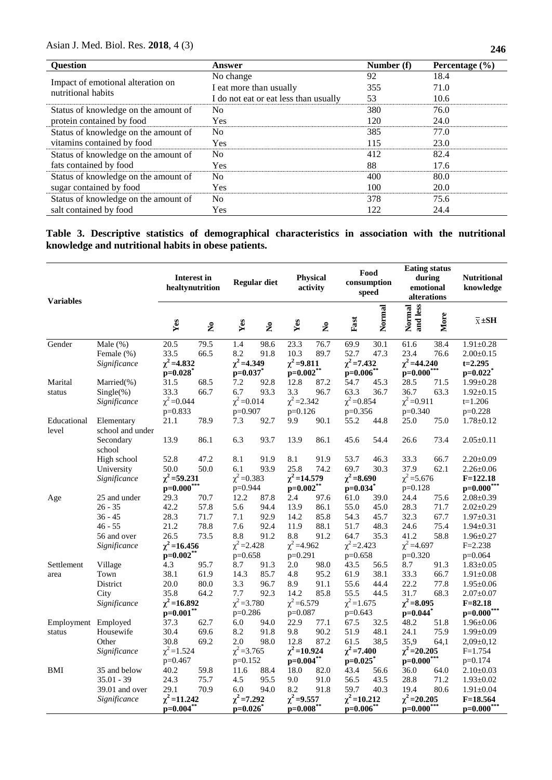| <b>Ouestion</b>                                         | Answer                                | Number (f) | Percentage $(\% )$ |
|---------------------------------------------------------|---------------------------------------|------------|--------------------|
|                                                         | No change                             | 92         | 18.4               |
| Impact of emotional alteration on<br>nutritional habits | I eat more than usually               | 355        | 71.0               |
|                                                         | I do not eat or eat less than usually | 53         | 10.6               |
| Status of knowledge on the amount of                    | No.                                   | 380        | 76.0               |
| protein contained by food                               | <b>Yes</b>                            | 120        | 24.0               |
| Status of knowledge on the amount of                    | No                                    | 385        | 77.0               |
| vitamins contained by food                              | <b>Yes</b>                            | 115        | 23.0               |
| Status of knowledge on the amount of                    | No                                    | 412        | 82.4               |
| fats contained by food                                  | <b>Yes</b>                            | 88         | 17.6               |
| Status of knowledge on the amount of                    | No.                                   | 400        | 80.0               |
| sugar contained by food                                 | <b>Yes</b>                            | 100        | 20.0               |
| Status of knowledge on the amount of                    | No                                    | 378        | 75.6               |
| salt contained by food                                  | Yes                                   | 122        | 24.4               |

**Table 3. Descriptive statistics of demographical characteristics in association with the nutritional knowledge and nutritional habits in obese patients.** 

| <b>Variables</b>     |                                | <b>Interest in</b><br>healtynutrition |             | <b>Regular diet</b> |                 | <b>Physical</b><br>activity |                      | Food<br>consumption<br>speed |                 | <b>Eating status</b><br>during<br>emotional<br>alterations |                  | <b>Nutritional</b><br>knowledge |  |
|----------------------|--------------------------------|---------------------------------------|-------------|---------------------|-----------------|-----------------------------|----------------------|------------------------------|-----------------|------------------------------------------------------------|------------------|---------------------------------|--|
|                      |                                | Yes                                   | $\tilde{z}$ | Yes                 | $\tilde{z}$     | Yes                         | $\tilde{\mathbf{z}}$ | Fast                         | Normal          | and less<br>Normal                                         | More             | $\overline{X} \pm S H$          |  |
| Gender               | Male $(\%)$                    | 20.5                                  | 79.5        | 1.4                 | 98.6            | 23.3                        | 76.7                 | 69.9                         | 30.1            | 61.6                                                       | 38.4             | $1.91 \pm 0.28$                 |  |
|                      | Female (%)                     | 33.5                                  | 66.5        | 8.2                 | 91.8            | 10.3                        | 89.7                 | 52.7                         | 47.3            | 23.4                                                       | 76.6             | $2.00 \pm 0.15$                 |  |
|                      | Significance                   | $\chi^2$ =4.832                       |             |                     | $\chi^2$ =4.349 |                             | $\chi^2$ =9.811      |                              | $\chi^2$ =7.432 |                                                            | $\chi^2$ =44.240 | $t = 2.295$                     |  |
|                      |                                | $p=0.028$ <sup>*</sup>                |             | $p=0.037$ *         |                 | $p=0.002$ **                |                      | $p=0.006$ *                  |                 | $p=0.000***$                                               |                  | $p=0.022$ <sup>*</sup>          |  |
| Marital              | Married(%)                     | 31.5                                  | 68.5        | 7.2                 | 92.8            | 12.8                        | 87.2                 | 54.7                         | 45.3            | 28.5                                                       | 71.5             | $1.99 \pm 0.28$                 |  |
| status               | $Single(\% )$                  | 33.3                                  | 66.7        | 6.7                 | 93.3            | 3.3                         | 96.7                 | 63.3                         | 36.7            | 36.7                                                       | 63.3             | $1.92 \pm 0.15$                 |  |
|                      | Significance                   | $\chi^2$ =0.044                       |             | $\chi^2$ = 0.014    |                 | $\chi^2$ = 2.342            |                      | $\chi^2$ = 0.854             |                 | $\chi^2$ = 0.911                                           |                  | $t=1.206$                       |  |
|                      |                                | $p=0.833$                             |             | p=0.907             |                 | $p=0.126$                   |                      | p=0.356                      |                 | $p=0.340$                                                  |                  | $p=0.228$                       |  |
| Educational<br>level | Elementary<br>school and under | 21.1                                  | 78.9        | 7.3                 | 92.7            | 9.9                         | 90.1                 | 55.2                         | 44.8            | 25.0                                                       | 75.0             | $1.78 \pm 0.12$                 |  |
|                      | Secondary<br>school            | 13.9                                  | 86.1        | 6.3                 | 93.7            | 13.9                        | 86.1                 | 45.6                         | 54.4            | 26.6                                                       | 73.4             | $2.05 \pm 0.11$                 |  |
|                      | High school                    | 52.8                                  | 47.2        | 8.1                 | 91.9            | 8.1                         | 91.9                 | 53.7                         | 46.3            | 33.3                                                       | 66.7             | $2.20 \pm 0.09$                 |  |
|                      | University                     | 50.0                                  | 50.0        | 6.1                 | 93.9            | 25.8                        | 74.2                 | 69.7                         | 30.3            | 37.9                                                       | 62.1             | $2.26 \pm 0.06$                 |  |
|                      | Significance                   | $\chi^2$ =59.231                      |             | $\chi^2$ = 0.383    |                 | $\chi^2$ =14.579            |                      | $\chi^2$ =8.690              |                 | $\chi^2$ =5.676                                            |                  | $F=122.18$                      |  |
|                      |                                | $p=0.000***$                          |             | p=0.944             |                 | $p=0.002**$                 |                      | $p=0.034$ *                  |                 | $p=0.128$                                                  |                  | $p=0.000***$                    |  |
| Age                  | 25 and under                   | 29.3                                  | 70.7        | 12.2                | 87.8            | 2.4                         | 97.6                 | 61.0                         | 39.0            | 24.4                                                       | 75.6             | $2.08 \pm 0.39$                 |  |
|                      | $26 - 35$                      | 42.2                                  | 57.8        | 5.6                 | 94.4            | 13.9                        | 86.1                 | 55.0                         | 45.0            | 28.3                                                       | 71.7             | $2.02 \pm 0.29$                 |  |
|                      | $36 - 45$                      | 28.3                                  | 71.7        | 7.1                 | 92.9            | 14.2                        | 85.8                 | 54.3                         | 45.7            | 32.3                                                       | 67.7             | $1.97 \pm 0.31$                 |  |
|                      | $46 - 55$                      | 21.2                                  | 78.8        | 7.6                 | 92.4            | 11.9                        | 88.1                 | 51.7                         | 48.3            | 24.6                                                       | 75.4             | $1.94 \pm 0.31$                 |  |
|                      | 56 and over                    | 26.5                                  | 73.5        | 8.8                 | 91.2            | 8.8                         | 91.2                 | 64.7                         | 35.3            | 41.2                                                       | 58.8             | $1.96 \pm 0.27$                 |  |
|                      | Significance                   | $\chi^2$ =16.456                      |             | $\chi^2$ = 2.428    |                 | $\chi^2$ =4.962             |                      | $\chi^2$ = 2.423             |                 | $\chi^2$ =4.697                                            |                  | $F = 2.238$                     |  |
|                      |                                | $p=0.002$ **                          |             | p=0.658             |                 | $p=0.291$                   |                      |                              | $p=0.658$       |                                                            | $p=0.320$        | p=0.064                         |  |
| Settlement           | Village                        | 4.3                                   | 95.7        | 8.7                 | 91.3            | 2.0                         | 98.0                 | 43.5                         | 56.5            | 8.7                                                        | 91.3             | $1.83 \pm 0.05$                 |  |
| area                 | Town                           | 38.1                                  | 61.9        | 14.3                | 85.7            | 4.8                         | 95.2                 | 61.9                         | 38.1            | 33.3                                                       | 66.7             | $1.91 \pm 0.08$                 |  |
|                      | District                       | 20.0                                  | 80.0        | 3.3                 | 96.7            | 8.9                         | 91.1                 | 55.6                         | 44.4            | 22.2                                                       | 77.8             | $1.95 \pm 0.06$                 |  |
|                      | City                           | 35.8                                  | 64.2        | 7.7                 | 92.3            | 14.2                        | 85.8                 | 55.5                         | 44.5            | 31.7                                                       | 68.3             | $2.07 \pm 0.07$                 |  |
|                      | Significance                   | $\chi^2$ = 16.892                     |             | $\chi^2$ = 3.780    |                 | $\chi^2$ = 6.579            |                      | $\chi^2$ =1.675              |                 | $\chi^2$ =8.095                                            |                  | $F = 82.18$                     |  |
|                      |                                | $p=0.001**$                           |             | $p=0.286$           |                 | $p=0.087$                   |                      | $p=0.643$                    |                 | $p=0.044$ <sup>*</sup>                                     |                  | $p=0.000***$                    |  |
| Employment Employed  |                                | 37.3                                  | 62.7        | 6.0                 | 94.0            | 22.9                        | 77.1                 | 67.5                         | 32.5            | 48.2                                                       | 51.8             | $1.96 \pm 0.06$                 |  |
| status               | Housewife                      | 30.4                                  | 69.6        | 8.2                 | 91.8            | 9.8                         | 90.2                 | 51.9                         | 48.1            | 24.1                                                       | 75.9             | $1.99 \pm 0.09$                 |  |
|                      | Other                          | 30.8                                  | 69.2        | $2.0\,$             | 98.0            | 12.8                        | 87.2                 | 61.5                         | 38,5            | 35,9                                                       | 64,1             | $2,09\pm0,12$                   |  |
|                      | Significance                   | $\chi^2$ = 1.524                      |             | $\chi^2$ = 3.765    |                 | $\gamma^2$ =10.924          |                      | $\chi^2$ = 7.400             |                 | $\chi^2$ = 20.205                                          |                  | $F = 1.754$                     |  |
|                      |                                | $p=0.467$                             |             | p=0.152             |                 | $p=0.004***$                |                      | $p=0.025$                    |                 | $p=0.000***$                                               |                  | $p=0.174$                       |  |
| <b>BMI</b>           | 35 and below                   | 40.2                                  | 59.8        | 11.6                | 88.4            | 18.0                        | 82.0                 | 43.4                         | 56.6            | 36.0                                                       | 64.0             | $2.10\pm0.03$                   |  |
|                      | $35.01 - 39$                   | 24.3                                  | 75.7        | 4.5                 | 95.5            | 9.0                         | 91.0                 | 56.5                         | 43.5            | 28.8                                                       | 71.2             | $1.93 \pm 0.02$                 |  |
|                      | 39.01 and over                 | 29.1                                  | 70.9        | 6.0                 | 94.0            | 8.2                         | 91.8                 | 59.7                         | 40.3            | 19.4                                                       | 80.6             | $1.91 \pm 0.04$                 |  |
|                      | Significance                   | $\chi^2$ = 11.242                     |             | $\chi^2$ = 7.292    |                 | $\chi^2$ =9.557             |                      | $\chi^2$ =10.212             |                 | $\chi^2$ = 20.205                                          |                  | $F = 18.564$                    |  |
|                      |                                | $p=0.004**$                           |             | $p=0.026$           |                 | $p=0.008***$                |                      | $p=0.006$ **                 |                 | $p=0.000***$                                               |                  | $p=0.000***$                    |  |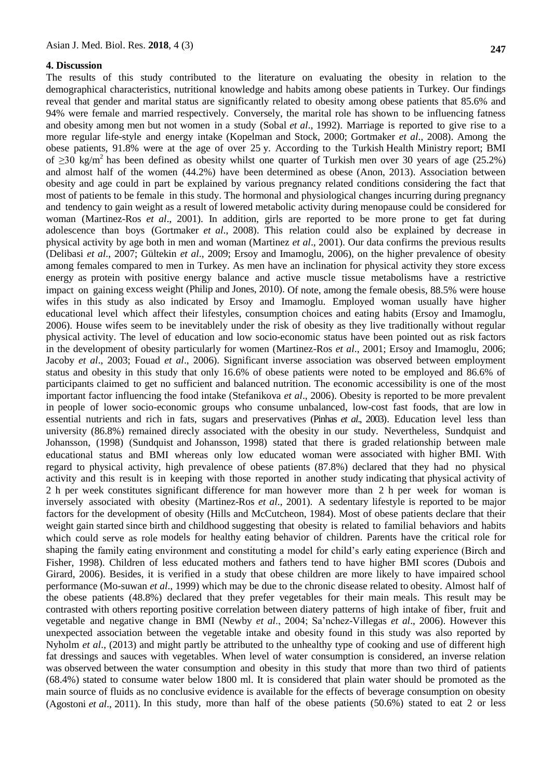The results of this study contributed to the literature on evaluating the obesity in relation to the demographical characteristics, nutritional knowledge and habits among obese patients in Turkey. Our findings reveal that gender and marital status are significantly related to obesity among obese patients that 85.6% and 94% were female and married respectively. Conversely, the marital role has shown to be influencing fatness and obesity among men but not women in a study (Sobal *et al*., 1992). Marriage is reported to give rise to a more regular life-style and energy intake (Kopelman and Stock, 2000; Gortmaker *et al*., 2008). Among the obese patients, 91.8% were at the age of over 25 y. According to the Turkish Health Ministry report; BMI of  $\geq$ 30 kg/m<sup>2</sup> has been defined as obesity whilst one quarter of Turkish men over 30 years of age (25.2%) and almost half of the women (44.2%) have been determined as obese (Anon, 2013). Association between obesity and age could in part be explained by various pregnancy related conditions considering the fact that most of patients to be female in this study. The hormonal and physiological changes incurring during pregnancy and tendency to gain weight as a result of lowered metabolic activity during menopause could be considered for woman (Martinez-Ros *et al*., 2001). In addition, girls are reported to be more prone to get fat during adolescence than boys (Gortmaker *et al*., 2008). This relation could also be explained by decrease in physical activity by age both in men and woman (Martinez *et al*., 2001). Our data confirms the previous results (Delibasi *et al*., 2007; Gültekin *et al*., 2009; Ersoy and Imamoglu, 2006), on the higher prevalence of obesity among females compared to men in Turkey. As men have an inclination for physical activity they store excess energy as protein with positive energy balance and active muscle tissue metabolisms have a restrictive impact on gaining excess weight (Philip and Jones, 2010). Of note, among the female obesis, 88.5% were house wifes in this study as also indicated by Ersoy and Imamoglu. Employed woman usually have higher educational level which affect their lifestyles, consumption choices and eating habits (Ersoy and Imamoglu, 2006). House wifes seem to be inevitablely under the risk of obesity as they live traditionally without regular physical activity. The level of education and low socio-economic status have been pointed out as risk factors in the development of obesity particularly for women (Martinez-Ros *et al*., 2001; Ersoy and Imamoglu, 2006; Jacoby *et al*., 2003; Fouad *et al*., 2006). Significant inverse association was observed between employment status and obesity in this study that only 16.6% of obese patients were noted to be employed and 86.6% of participants claimed to get no sufficient and balanced nutrition. The economic accessibility is one of the most important factor influencing the food intake (Stefanikova *et al*., 2006). Obesity is reported to be more prevalent in people of lower socio-economic groups who consume unbalanced, low-cost fast foods, that are low in essential nutrients and rich in fats, sugars and preservatives (Pinhas *et al*., 2003). Education level less than university (86.8%) remained direcly associated with the obesity in our study. Nevertheless, Sundquist and Johansson, (1998) (Sundquist and Johansson, 1998) stated that there is graded relationship between male educational status and BMI whereas only low educated woman were associated with higher BMI. With regard to physical activity, high prevalence of obese patients (87.8%) declared that they had no physical activity and this result is in keeping with those reported in another study indicating that physical activity of 2 h per week constitutes significant difference for man however more than 2 h per week for woman is inversely associated with obesity (Martinez-Ros *et al*., 2001). A sedentary lifestyle is reported to be major factors for the development of obesity (Hills and McCutcheon, 1984). Most of obese patients declare that their weight gain started since birth and childhood suggesting that obesity is related to familial behaviors and habits which could serve as role models for healthy eating behavior of children. Parents have the critical role for shaping the family eating environment and constituting a model for child's early eating experience (Birch and Fisher, 1998). Children of less educated mothers and fathers tend to have higher BMI scores (Dubois and Girard, 2006). Besides, it is verified in a study that obese children are more likely to have impaired school performance (Mo-suwan *et al*., 1999) which may be due to the chronic disease related to obesity. Almost half of the obese patients (48.8%) declared that they prefer vegetables for their main meals. This result may be contrasted with others reporting positive correlation between diatery patterns of high intake of fiber, fruit and vegetable and negative change in BMI (Newby *et al*., 2004; Sa'nchez-Villegas *et al*., 2006). However this unexpected association between the vegetable intake and obesity found in this study was also reported by Nyholm *et al.*, (2013) and might partly be attributed to the unhealthy type of cooking and use of different high fat dressings and sauces with vegetables. When level of water consumption is considered, an inverse relation was observed between the water consumption and obesity in this study that more than two third of patients (68.4%) stated to consume water below 1800 ml. It is considered that plain water should be promoted as the main source of fluids as no conclusive evidence is available for the effects of beverage consumption on obesity (Agostoni *et al*., 2011). In this study, more than half of the obese patients (50.6%) stated to eat 2 or less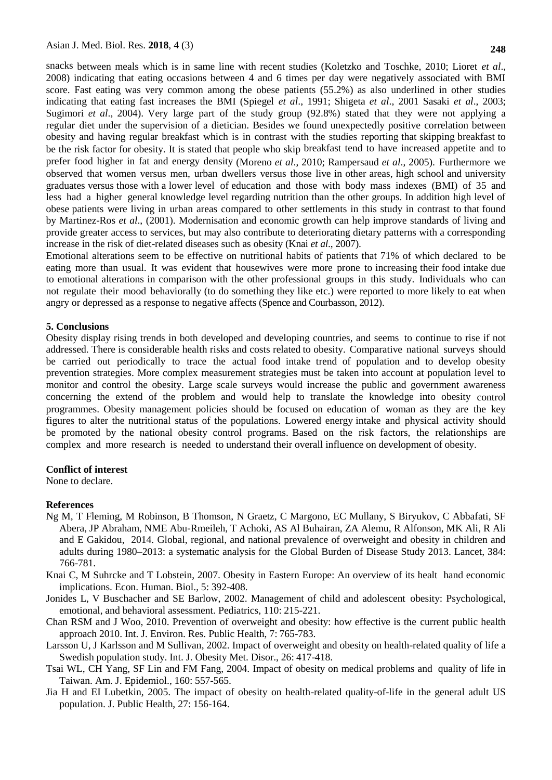snacks between meals which is in same line with recent studies (Koletzko and Toschke, 2010; Lioret *et al*., 2008) indicating that eating occasions between 4 and 6 times per day were negatively associated with BMI score. Fast eating was very common among the obese patients (55.2%) as also underlined in other studies indicating that eating fast increases the BMI (Spiegel *et al*., 1991; Shigeta *et al*., 2001 Sasaki *et al*., 2003; Sugimori *et al*., 2004). Very large part of the study group (92.8%) stated that they were not applying a regular diet under the supervision of a dietician. Besides we found unexpectedly positive correlation between obesity and having regular breakfast which is in contrast with the studies reporting that skipping breakfast to be the risk factor for obesity. It is stated that people who skip breakfast tend to have increased appetite and to prefer food higher in fat and energy density (Moreno *et al*., 2010; Rampersaud *et al*., 2005). Furthermore we observed that women versus men, urban dwellers versus those live in other areas, high school and university graduates versus those with a lower level of education and those with body mass indexes (BMI) of 35 and less had a higher general knowledge level regarding nutrition than the other groups. In addition high level of obese patients were living in urban areas compared to other settlements in this study in contrast to that found by Martinez-Ros *et al*., (2001). Modernisation and economic growth can help improve standards of living and provide greater access to services, but may also contribute to deteriorating dietary patterns with a corresponding increase in the risk of diet-related diseases such as obesity (Knai *et al*., 2007).

Emotional alterations seem to be effective on nutritional habits of patients that 71% of which declared to be eating more than usual. It was evident that housewives were more prone to increasing their food intake due to emotional alterations in comparison with the other professional groups in this study. Individuals who can not regulate their mood behaviorally (to do something they like etc.) were reported to more likely to eat when angry or depressed as a response to negative affects (Spence and Courbasson, 2012).

#### **5. Conclusions**

Obesity display rising trends in both developed and developing countries, and seems to continue to rise if not addressed. There is considerable health risks and costs related to obesity. Comparative national surveys should be carried out periodically to trace the actual food intake trend of population and to develop obesity prevention strategies. More complex measurement strategies must be taken into account at population level to monitor and control the obesity. Large scale surveys would increase the public and government awareness concerning the extend of the problem and would help to translate the knowledge into obesity control programmes. Obesity management policies should be focused on education of woman as they are the key figures to alter the nutritional status of the populations. Lowered energy intake and physical activity should be promoted by the national obesity control programs. Based on the risk factors, the relationships are complex and more research is needed to understand their overall influence on development of obesity.

#### **Conflict of interest**

None to declare.

#### **References**

- Ng M, T Fleming, M Robinson, B Thomson, N Graetz, C Margono, EC Mullany, S Biryukov, C Abbafati, SF Abera, JP Abraham, NME Abu-Rmeileh, T Achoki, AS Al Buhairan, ZA Alemu, R Alfonson, MK Ali, R Ali and E Gakidou, 2014. Global, regional, and national prevalence of overweight and obesity in children and adults during 1980–2013: a systematic analysis for the Global Burden of Disease Study 2013. Lancet, 384: 766-781.
- Knai C, M Suhrcke and T Lobstein, 2007. Obesity in Eastern Europe: An overview of its healt hand economic implications. Econ. Human. Biol., 5: 392-408.
- Jonides L, V Buschacher and SE Barlow, 2002. Management of child and adolescent obesity: Psychological, emotional, and behavioral assessment. Pediatrics, 110: 215-221.
- Chan RSM and J Woo, 2010. Prevention of overweight and obesity: how effective is the current public health approach 2010. Int. J. Environ. Res. Public Health, 7: 765-783.
- Larsson U, J Karlsson and M Sullivan, 2002. Impact of overweight and obesity on health-related quality of life a Swedish population study. Int. J. Obesity Met. Disor., 26: 417-418.
- Tsai [WL,](https://aje.oxfordjournals.org/search?author1=Wen-Ling%2BTsai&sortspec=date&submit=Submit) CH Yang, SF Lin and FM Fang, 2004. Impact of obesity on medical problems and quality of life in Taiwan. Am. J. Epidemiol., 160: 557-565.
- Jia H and EI Lubetkin, 2005. The impact of obesity on health-related quality-of-life in the general adult US population. J. Public Health, 27: 156-164.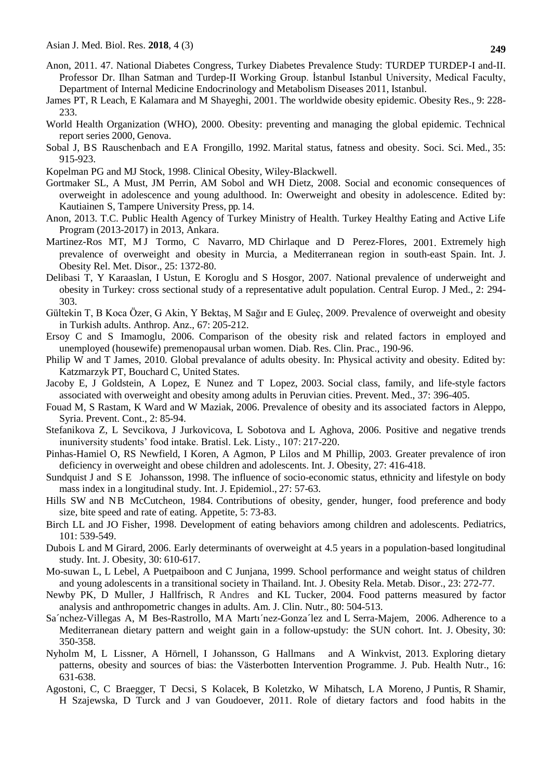- Anon, 2011. 47. National Diabetes Congress, Turkey Diabetes Prevalence Study: TURDEP TURDEP-I and-II. Professor Dr. Ilhan Satman and Turdep-II Working Group. İstanbul Istanbul University, Medical Faculty, Department of Internal Medicine Endocrinology and Metabolism Diseases 2011, Istanbul.
- James PT, R Leach, E Kalamara and M Shayeghi, 2001. The worldwide obesity epidemic. Obesity Res., 9: 228- 233.
- World Health Organization (WHO), 2000. Obesity: preventing and managing the global epidemic. Technical report series 2000, Genova.
- Sobal J, BS Rauschenbach and EA Frongillo, 1992. Marital status, fatness and obesity. Soci. Sci. Med., 35: 915-923.
- Kopelman PG and MJ Stock, 1998. Clinical Obesity, Wiley-Blackwell.
- Gortmaker SL, A Must, JM Perrin, AM Sobol and WH Dietz, 2008. Social and economic consequences of overweight in adolescence and young adulthood. In: Owerweight and obesity in adolescence. Edited by: Kautiainen S, Tampere University Press, pp. 14.
- Anon, 2013. T.C. Public Health Agency of Turkey Ministry of Health. Turkey Healthy Eating and Active Life Program (2013-2017) in 2013, Ankara.
- Martinez-Ros MT, MJ Tormo, C Navarro, MD Chirlaque and D Perez-Flores, 2001. Extremely high prevalence of overweight and obesity in Murcia, a Mediterranean region in south-east Spain. Int. J. Obesity Rel. Met. Disor., 25: 1372-80.
- Delibasi T, Y Karaaslan, I Ustun, E Koroglu and S Hosgor, 2007. National prevalence of underweight and obesity in Turkey: cross sectional study of a representative adult population. Central Europ. J Med., 2: 294- 303.
- Gültekin T, B Koca Özer, G Akin, Y Bektaş, M Sağır and E Guleç, 2009. Prevalence of overweight and obesity in Turkish adults. Anthrop. Anz., 67: 205-212.
- Ersoy C and S Imamoglu, 2006. Comparison of the obesity risk and related factors in employed and unemployed (housewife) premenopausal urban women. Diab. Res. Clin. Prac., 190-96.
- Philip W and T James, 2010. Global prevalance of adults obesity. In: Physical activity and obesity. Edited by: Katzmarzyk PT, Bouchard C, United States.
- Jacoby E, J Goldstein, A Lopez, E Nunez and T Lopez, 2003. Social class, family, and life-style factors associated with overweight and obesity among adults in Peruvian cities. Prevent. Med., 37: 396-405.
- Fouad M, S Rastam, K Ward and W Maziak, 2006. Prevalence of obesity and its associated factors in Aleppo, Syria. Prevent. Cont., 2: 85-94.
- Stefanikova Z, L Sevcikova, J Jurkovicova, L Sobotova and L Aghova, 2006. Positive and negative trends inuniversity students' food intake. Bratisl. Lek. Listy., 107: 217-220.
- Pinhas-Hamiel O, RS Newfield, I Koren, A Agmon, P Lilos and M Phillip, 2003. Greater prevalence of iron deficiency in overweight and obese children and adolescents. Int. J. Obesity, 27: 416-418.
- Sundquist J and SE Johansson, 1998. The influence of socio-economic status, ethnicity and lifestyle on body mass index in a longitudinal study. Int. J. Epidemiol., 27: 57-63.
- Hills SW and NB McCutcheon, 1984. Contributions of obesity, gender, hunger, food preference and body size, bite speed and rate of eating. Appetite, 5: 73-83.
- Birch LL and JO Fisher, 1998. Development of eating behaviors among children and adolescents. Pediatrics, 101: 539-549.
- Dubois L and M Girard, 2006. Early determinants of overweight at 4.5 years in a population-based longitudinal study. Int. J. Obesity, 30: 610-617.
- Mo-suwan L, L Lebel, A Puetpaiboon and C Junjana, 1999. School performance and weight status of children and young adolescents in a transitional society in Thailand. Int. J. Obesity Rela. Metab. Disor., 23: 272-77.
- Newby PK, D Muller, J Hallfrisch, R Andres [and](javascript:;) KL Tucke[r,](javascript:;) 2004. Food patterns measured by factor analysis and anthropometric changes in adults. Am. J. Clin. Nutr., 80: 504-513.
- Sa´nchez-Villegas A, M Bes-Rastrollo, MA Martı´nez-Gonza´lez and L Serra-Majem, 2006. Adherence to a Mediterranean dietary pattern and weight gain in a follow-upstudy: the SUN cohort. Int. J. Obesity, 30: 350-358.
- [Nyholm](http://www.cabdirect.org/search.html?q=au%3A%22Nyholm%2C%2BM.%22) M, L [Lissner,](http://www.cabdirect.org/search.html?q=au%3A%22Lissner%2C%2BL.%22) A [Hörnell,](http://www.cabdirect.org/search.html?q=au%3A%22H%C3%B6rnell%2C%2BA.%22) I [Johansson,](http://www.cabdirect.org/search.html?q=au%3A%22Johansson%2C%2BI.%22) G [Hallmans](http://www.cabdirect.org/search.html?q=au%3A%22Hallmans%2C%2BG.%22) and A [Winkvist,](http://www.cabdirect.org/search.html?q=au%3A%22Winkvist%2C%2BA.%22) 2013. Exploring dietary patterns, obesity and sources of bias: the Västerbotten Intervention Programme. J. [Pub. Health Nutr.](http://www.cabdirect.org/search.html?q=do%3A%22Public%2BHealth%2BNutrition%22), 16: 631-638.
- Agostoni, C, C Braegger, T Decsi, S Kolacek, B Koletzko, W Mihatsch, LA Moreno, J Puntis, R Shamir, H Szajewska, D Turck and J van Goudoever, 2011. Role of dietary factors and food habits in the